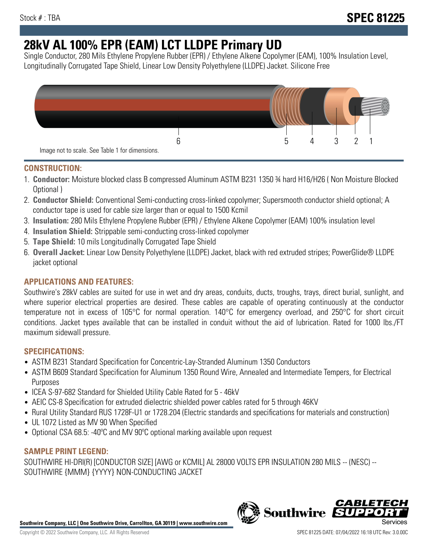# **28kV AL 100% EPR (EAM) LCT LLDPE Primary UD**

Single Conductor, 280 Mils Ethylene Propylene Rubber (EPR) / Ethylene Alkene Copolymer (EAM), 100% Insulation Level, Longitudinally Corrugated Tape Shield, Linear Low Density Polyethylene (LLDPE) Jacket. Silicone Free



## **CONSTRUCTION:**

- 1. **Conductor:** Moisture blocked class B compressed Aluminum ASTM B231 1350 ¾ hard H16/H26 ( Non Moisture Blocked Optional )
- 2. **Conductor Shield:** Conventional Semi-conducting cross-linked copolymer; Supersmooth conductor shield optional; A conductor tape is used for cable size larger than or equal to 1500 Kcmil
- 3. **Insulation:** 280 Mils Ethylene Propylene Rubber (EPR) / Ethylene Alkene Copolymer (EAM) 100% insulation level
- 4. **Insulation Shield:** Strippable semi-conducting cross-linked copolymer
- 5. **Tape Shield:** 10 mils Longitudinally Corrugated Tape Shield
- 6. **Overall Jacket:** Linear Low Density Polyethylene (LLDPE) Jacket, black with red extruded stripes; PowerGlide® LLDPE jacket optional

# **APPLICATIONS AND FEATURES:**

Southwire's 28kV cables are suited for use in wet and dry areas, conduits, ducts, troughs, trays, direct burial, sunlight, and where superior electrical properties are desired. These cables are capable of operating continuously at the conductor temperature not in excess of 105°C for normal operation. 140°C for emergency overload, and 250°C for short circuit conditions. Jacket types available that can be installed in conduit without the aid of lubrication. Rated for 1000 lbs./FT maximum sidewall pressure.

## **SPECIFICATIONS:**

- ASTM B231 Standard Specification for Concentric-Lay-Stranded Aluminum 1350 Conductors
- ASTM B609 Standard Specification for Aluminum 1350 Round Wire, Annealed and Intermediate Tempers, for Electrical Purposes
- ICEA S-97-682 Standard for Shielded Utility Cable Rated for 5 46kV
- AEIC CS-8 Specification for extruded dielectric shielded power cables rated for 5 through 46KV
- Rural Utility Standard RUS 1728F-U1 or 1728.204 (Electric standards and specifications for materials and construction)
- UL 1072 Listed as MV 90 When Specified
- Optional CSA 68.5: -40ºC and MV 90ºC optional marking available upon request

## **SAMPLE PRINT LEGEND:**

SOUTHWIRE HI-DRI(R) [CONDUCTOR SIZE] [AWG or KCMIL] AL 28000 VOLTS EPR INSULATION 280 MILS -- (NESC) -- SOUTHWIRE {MMM} {YYYY} NON-CONDUCTING JACKET



**Southwire** 

CABLE1